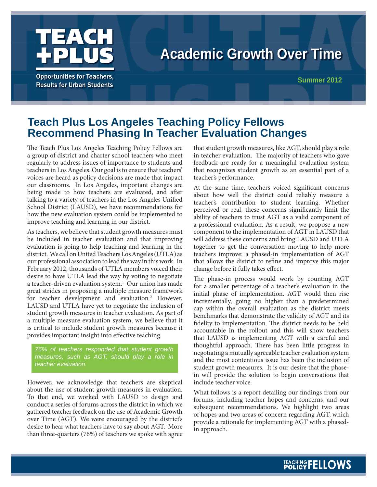

# **Academic Growth Over Time**

**Opportunities for Teachers, Results for Urban Students** 

**Summer 2012**

# **Teach Plus Los Angeles Teaching Policy Fellows Recommend Phasing In Teacher Evaluation Changes**

The Teach Plus Los Angeles Teaching Policy Fellows are a group of district and charter school teachers who meet regularly to address issues of importance to students and teachers in Los Angeles. Our goal is to ensure that teachers' voices are heard as policy decisions are made that impact our classrooms. In Los Angeles, important changes are being made to how teachers are evaluated, and after talking to a variety of teachers in the Los Angeles Unified School District (LAUSD), we have recommendations for how the new evaluation system could be implemented to improve teaching and learning in our district.

As teachers, we believe that student growth measures must be included in teacher evaluation and that improving evaluation is going to help teaching and learning in the district. We call on United Teachers Los Angeles (UTLA) as our professional association to lead the way in this work. In February 2012, thousands of UTLA members voiced their desire to have UTLA lead the way by voting to negotiate a teacher-driven evaluation system.<sup>1</sup> Our union has made great strides in proposing a multiple measure framework for teacher development and evaluation.<sup>2</sup> However, LAUSD and UTLA have yet to negotiate the inclusion of student growth measures in teacher evaluation. As part of a multiple measure evaluation system, we believe that it is critical to include student growth measures because it provides important insight into effective teaching.

*76% of teachers responded that student growth measures, such as AGT, should play a role in teacher evaluation.*

However, we acknowledge that teachers are skeptical about the use of student growth measures in evaluation. To that end, we worked with LAUSD to design and conduct a series of forums across the district in which we gathered teacher feedback on the use of Academic Growth over Time (AGT). We were encouraged by the district's desire to hear what teachers have to say about AGT. More than three-quarters (76%) of teachers we spoke with agree that student growth measures, like AGT, should play a role in teacher evaluation. The majority of teachers who gave feedback are ready for a meaningful evaluation system that recognizes student growth as an essential part of a teacher's performance.

At the same time, teachers voiced significant concerns about how well the district could reliably measure a teacher's contribution to student learning. Whether perceived or real, these concerns significantly limit the ability of teachers to trust AGT as a valid component of a professional evaluation. As a result, we propose a new component to the implementation of AGT in LAUSD that will address these concerns and bring LAUSD and UTLA together to get the conversation moving to help more teachers improve: a phased-in implementation of AGT that allows the district to refine and improve this major change before it fully takes effect.

The phase-in process would work by counting AGT for a smaller percentage of a teacher's evaluation in the initial phase of implementation. AGT would then rise incrementally, going no higher than a predetermined cap within the overall evaluation as the district meets benchmarks that demonstrate the validity of AGT and its fidelity to implementation. The district needs to be held accountable in the rollout and this will show teachers that LAUSD is implementing AGT with a careful and thoughtful approach. There has been little progress in negotiating a mutually agreeable teacher evaluation system and the most contentious issue has been the inclusion of student growth measures. It is our desire that the phasein will provide the solution to begin conversations that include teacher voice.

What follows is a report detailing our findings from our forums, including teacher hopes and concerns, and our subsequent recommendations. We highlight two areas of hopes and two areas of concern regarding AGT, which provide a rationale for implementing AGT with a phasedin approach.

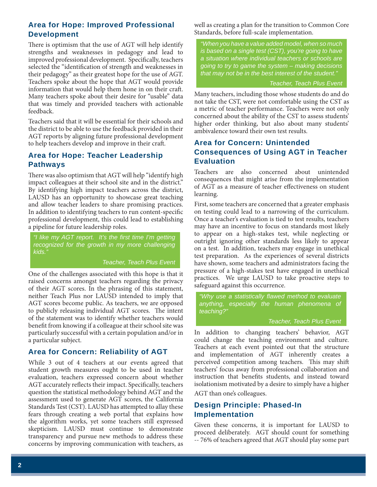# **Area for Hope: Improved Professional Development**

There is optimism that the use of AGT will help identify strengths and weaknesses in pedagogy and lead to improved professional development. Specifically, teachers selected the "identification of strength and weaknesses in their pedagogy" as their greatest hope for the use of AGT. Teachers spoke about the hope that AGT would provide information that would help them hone in on their craft. Many teachers spoke about their desire for "usable" data that was timely and provided teachers with actionable feedback.

Teachers said that it will be essential for their schools and the district to be able to use the feedback provided in their AGT reports by aligning future professional development to help teachers develop and improve in their craft.

### **Area for Hope: Teacher Leadership Pathways**

There was also optimism that AGT will help "identify high impact colleagues at their school site and in the district." By identifying high impact teachers across the district, LAUSD has an opportunity to showcase great teaching and allow teacher leaders to share promising practices. In addition to identifying teachers to run content-specific professional development, this could lead to establishing a pipeline for future leadership roles.

*"I like my AGT report. It's the first time I'm getting recognized for the growth in my more challenging kids."*

*Teacher, Teach Plus Event* 

One of the challenges associated with this hope is that it raised concerns amongst teachers regarding the privacy of their AGT scores. In the phrasing of this statement, neither Teach Plus nor LAUSD intended to imply that AGT scores become public. As teachers, we are opposed to publicly releasing individual AGT scores. The intent of the statement was to identify whether teachers would benefit from knowing if a colleague at their school site was particularly successful with a certain population and/or in a particular subject.

### **Area for Concern: Reliability of AGT**

While 3 out of 4 teachers at our events agreed that student growth measures ought to be used in teacher evaluation, teachers expressed concern about whether AGT accurately reflects their impact. Specifically, teachers question the statistical methodology behind AGT and the assessment used to generate AGT scores, the California Standards Test (CST). LAUSD has attempted to allay these fears through creating a web portal that explains how the algorithm works, yet some teachers still expressed skepticism. LAUSD must continue to demonstrate transparency and pursue new methods to address these concerns by improving communication with teachers, as

well as creating a plan for the transition to Common Core Standards, before full-scale implementation.

*"When you have a value added model, when so much is based on a single test (CST), you're going to have a situation where individual teachers or schools are going to try to game the system – making decisions that may not be in the best interest of the student."* 

*Teacher, Teach Plus Event* 

Many teachers, including those whose students do and do not take the CST, were not comfortable using the CST as a metric of teacher performance. Teachers were not only concerned about the ability of the CST to assess students' higher order thinking, but also about many students' ambivalence toward their own test results.

## **Area for Concern: Unintended Consequences of Using AGT in Teacher Evaluation**

Teachers are also concerned about unintended consequences that might arise from the implementation of AGT as a measure of teacher effectiveness on student learning.

First, some teachers are concerned that a greater emphasis on testing could lead to a narrowing of the curriculum. Once a teacher's evaluation is tied to test results, teachers may have an incentive to focus on standards most likely to appear on a high-stakes test, while neglecting or outright ignoring other standards less likely to appear on a test. In addition, teachers may engage in unethical test preparation. As the experiences of several districts have shown, some teachers and administrators facing the pressure of a high-stakes test have engaged in unethical practices. We urge LAUSD to take proactive steps to safeguard against this occurrence.

*"Why use a statistically fl awed method to evaluate anything, especially the human phenomena of teaching?"*

#### *Teacher, Teach Plus Event*

In addition to changing teachers' behavior, AGT could change the teaching environment and culture. Teachers at each event pointed out that the structure and implementation of AGT inherently creates a perceived competition among teachers. This may shift teachers' focus away from professional collaboration and instruction that benefits students, and instead toward isolationism motivated by a desire to simply have a higher

AGT than one's colleagues.

# **Design Principle: Phased-In Implementation**

Given these concerns, it is important for LAUSD to proceed deliberately. AGT should count for something -- 76% of teachers agreed that AGT should play some part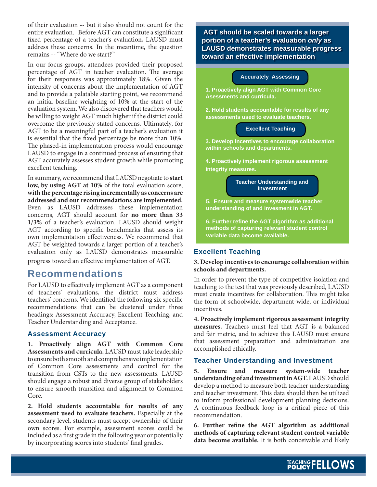of their evaluation -- but it also should not count for the entire evaluation. Before AGT can constitute a significant fixed percentage of a teacher's evaluation, LAUSD must address these concerns. In the meantime, the question remains -- "Where do we start?"

In our focus groups, attendees provided their proposed percentage of AGT in teacher evaluation. The average for their responses was approximately 18%. Given the intensity of concerns about the implementation of AGT and to provide a palatable starting point, we recommend an initial baseline weighting of 10% at the start of the evaluation system. We also discovered that teachers would be willing to weight AGT much higher if the district could overcome the previously stated concerns. Ultimately, for AGT to be a meaningful part of a teacher's evaluation it is essential that the fixed percentage be more than 10%. The phased-in implementation process would encourage LAUSD to engage in a continued process of ensuring that AGT accurately assesses student growth while promoting excellent teaching.

In summary, we recommend that LAUSD negotiate to **start low, by using AGT at 10%** of the total evaluation score, **with the percentage rising incrementally as concerns are addressed and our recommendations are implemented.**  Even as LAUSD addresses these implementation concerns, AGT should account for **no more than 33 1/3%** of a teacher's evaluation. LAUSD should weight AGT according to specific benchmarks that assess its own implementation effectiveness. We recommend that AGT be weighted towards a larger portion of a teacher's evaluation only as LAUSD demonstrates measurable progress toward an effective implementation of AGT.

# **Recommendations**

For LAUSD to effectively implement AGT as a component of teachers' evaluations, the district must address teachers' concerns. We identified the following six specific recommendations that can be clustered under three headings: Assessment Accuracy, Excellent Teaching, and Teacher Understanding and Acceptance.

#### **Assessment Accuracy**

**1. Proactively align AGT with Common Core Assessments and curricula.** LAUSD must take leadership to ensure both smooth and comprehensive implementation of Common Core assessments and control for the transition from CSTs to the new assessments. LAUSD should engage a robust and diverse group of stakeholders to ensure smooth transition and alignment to Common Core.

**2. Hold students accountable for results of any assessment used to evaluate teachers.** Especially at the secondary level, students must accept ownership of their own scores. For example, assessment scores could be included as a first grade in the following year or potentially by incorporating scores into students' final grades.

 **AGT should be scaled towards a larger portion of a teacher's evaluation** *only* **as LAUSD demonstrates measurable progress toward an effective implementation**



#### **Excellent Teaching**

#### **3. Develop incentives to encourage collaboration within schools and departments.**

In order to prevent the type of competitive isolation and teaching to the test that was previously described, LAUSD must create incentives for collaboration. This might take the form of schoolwide, department-wide, or individual incentives.

**4. Proactively implement rigorous assessment integrity measures.** Teachers must feel that AGT is a balanced and fair metric, and to achieve this LAUSD must ensure that assessment preparation and administration are accomplished ethically.

#### **Teacher Understanding and Investment**

**5. Ensure and measure system-wide teacher understanding of and investment in AGT.** LAUSD should develop a method to measure both teacher understanding and teacher investment. This data should then be utilized to inform professional development planning decisions. A continuous feedback loop is a critical piece of this recommendation.

6. Further refine the AGT algorithm as additional **methods of capturing relevant student control variable data become available.** It is both conceivable and likely